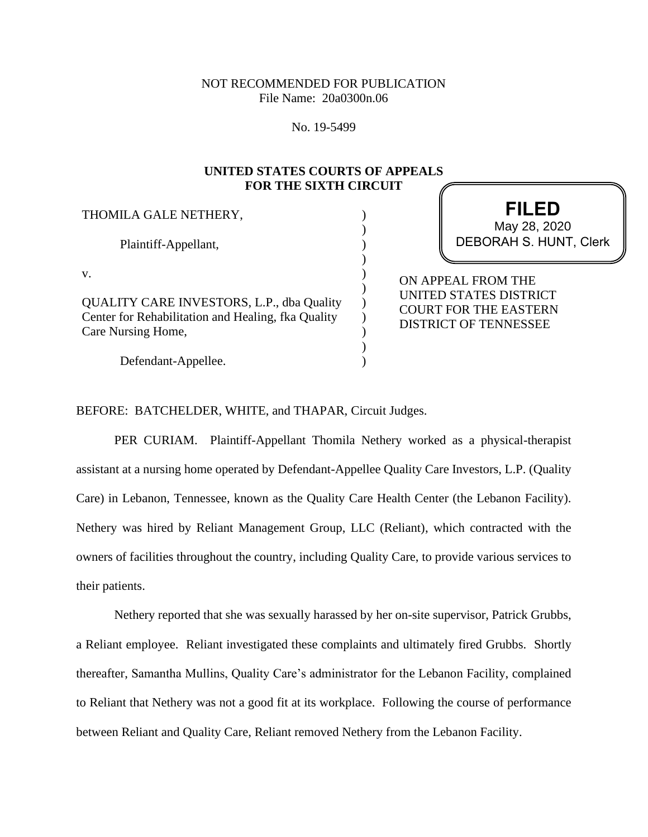# NOT RECOMMENDED FOR PUBLICATION File Name: 20a0300n.06

No. 19-5499

# **UNITED STATES COURTS OF APPEALS FOR THE SIXTH CIRCUIT**

) ) ) ) ) ) ) ) ) ) )

THOMILA GALE NETHERY,

Plaintiff-Appellant,

v.

QUALITY CARE INVESTORS, L.P., dba Quality Center for Rehabilitation and Healing, fka Quality Care Nursing Home,

Defendant-Appellee.

**FILED** DEBORAH S. HUNT, Clerk May 28, 2020

ON APPEAL FROM THE UNITED STATES DISTRICT COURT FOR THE EASTERN DISTRICT OF TENNESSEE

BEFORE: BATCHELDER, WHITE, and THAPAR, Circuit Judges.

PER CURIAM. Plaintiff-Appellant Thomila Nethery worked as a physical-therapist assistant at a nursing home operated by Defendant-Appellee Quality Care Investors, L.P. (Quality Care) in Lebanon, Tennessee, known as the Quality Care Health Center (the Lebanon Facility). Nethery was hired by Reliant Management Group, LLC (Reliant), which contracted with the owners of facilities throughout the country, including Quality Care, to provide various services to their patients.

Nethery reported that she was sexually harassed by her on-site supervisor, Patrick Grubbs, a Reliant employee. Reliant investigated these complaints and ultimately fired Grubbs. Shortly thereafter, Samantha Mullins, Quality Care's administrator for the Lebanon Facility, complained to Reliant that Nethery was not a good fit at its workplace. Following the course of performance between Reliant and Quality Care, Reliant removed Nethery from the Lebanon Facility.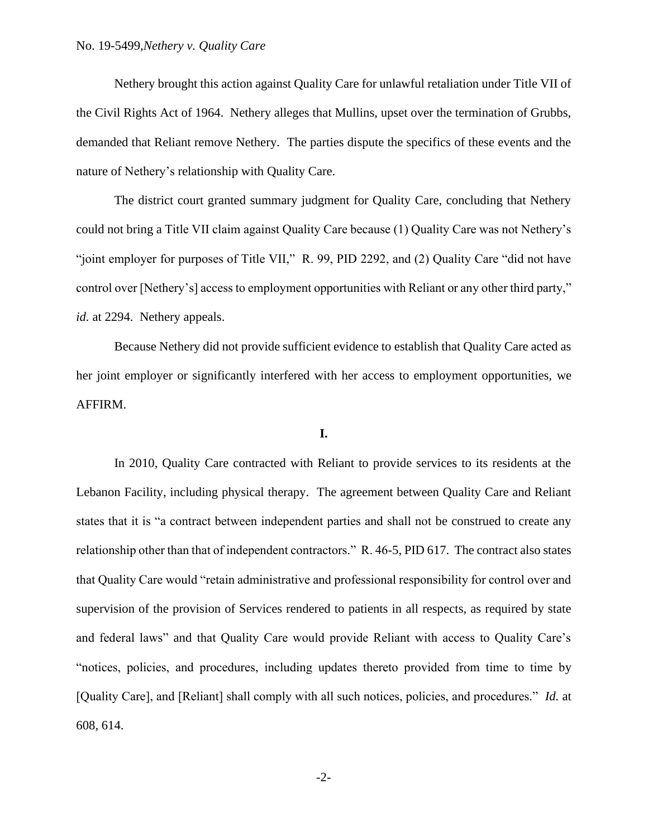Nethery brought this action against Quality Care for unlawful retaliation under Title VII of the Civil Rights Act of 1964. Nethery alleges that Mullins, upset over the termination of Grubbs, demanded that Reliant remove Nethery. The parties dispute the specifics of these events and the nature of Nethery's relationship with Quality Care.

The district court granted summary judgment for Quality Care, concluding that Nethery could not bring a Title VII claim against Quality Care because (1) Quality Care was not Nethery's "joint employer for purposes of Title VII," R. 99, PID 2292, and (2) Quality Care "did not have control over [Nethery's] access to employment opportunities with Reliant or any other third party," *id.* at 2294. Nethery appeals.

Because Nethery did not provide sufficient evidence to establish that Quality Care acted as her joint employer or significantly interfered with her access to employment opportunities, we AFFIRM.

### **I.**

In 2010, Quality Care contracted with Reliant to provide services to its residents at the Lebanon Facility, including physical therapy. The agreement between Quality Care and Reliant states that it is "a contract between independent parties and shall not be construed to create any relationship other than that of independent contractors." R. 46-5, PID 617. The contract also states that Quality Care would "retain administrative and professional responsibility for control over and supervision of the provision of Services rendered to patients in all respects, as required by state and federal laws" and that Quality Care would provide Reliant with access to Quality Care's "notices, policies, and procedures, including updates thereto provided from time to time by [Quality Care], and [Reliant] shall comply with all such notices, policies, and procedures." *Id.* at 608, 614.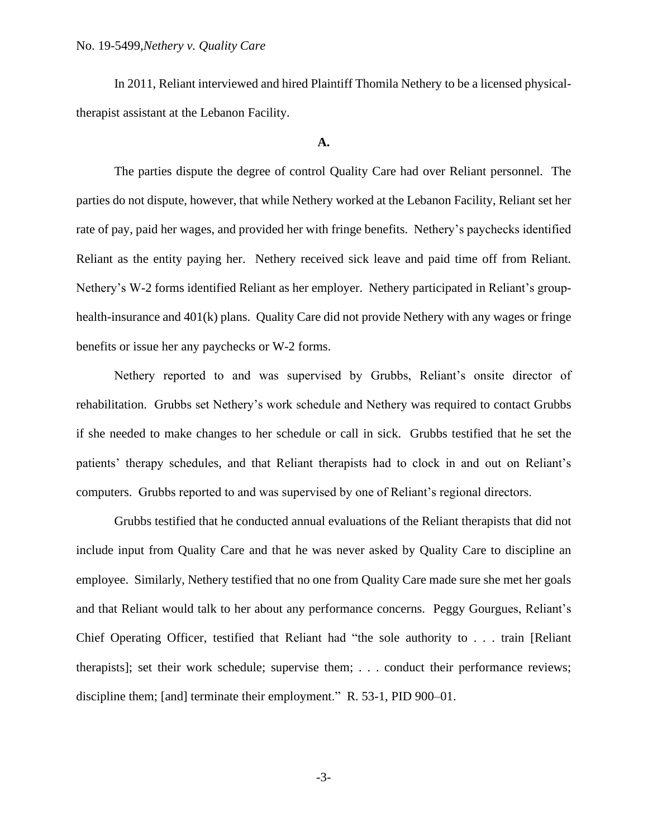In 2011, Reliant interviewed and hired Plaintiff Thomila Nethery to be a licensed physicaltherapist assistant at the Lebanon Facility.

### **A.**

The parties dispute the degree of control Quality Care had over Reliant personnel. The parties do not dispute, however, that while Nethery worked at the Lebanon Facility, Reliant set her rate of pay, paid her wages, and provided her with fringe benefits. Nethery's paychecks identified Reliant as the entity paying her. Nethery received sick leave and paid time off from Reliant. Nethery's W-2 forms identified Reliant as her employer. Nethery participated in Reliant's grouphealth-insurance and 401(k) plans. Quality Care did not provide Nethery with any wages or fringe benefits or issue her any paychecks or W-2 forms.

Nethery reported to and was supervised by Grubbs, Reliant's onsite director of rehabilitation. Grubbs set Nethery's work schedule and Nethery was required to contact Grubbs if she needed to make changes to her schedule or call in sick. Grubbs testified that he set the patients' therapy schedules, and that Reliant therapists had to clock in and out on Reliant's computers. Grubbs reported to and was supervised by one of Reliant's regional directors.

Grubbs testified that he conducted annual evaluations of the Reliant therapists that did not include input from Quality Care and that he was never asked by Quality Care to discipline an employee. Similarly, Nethery testified that no one from Quality Care made sure she met her goals and that Reliant would talk to her about any performance concerns. Peggy Gourgues, Reliant's Chief Operating Officer, testified that Reliant had "the sole authority to . . . train [Reliant therapists]; set their work schedule; supervise them; . . . conduct their performance reviews; discipline them; [and] terminate their employment." R. 53-1, PID 900–01.

-3-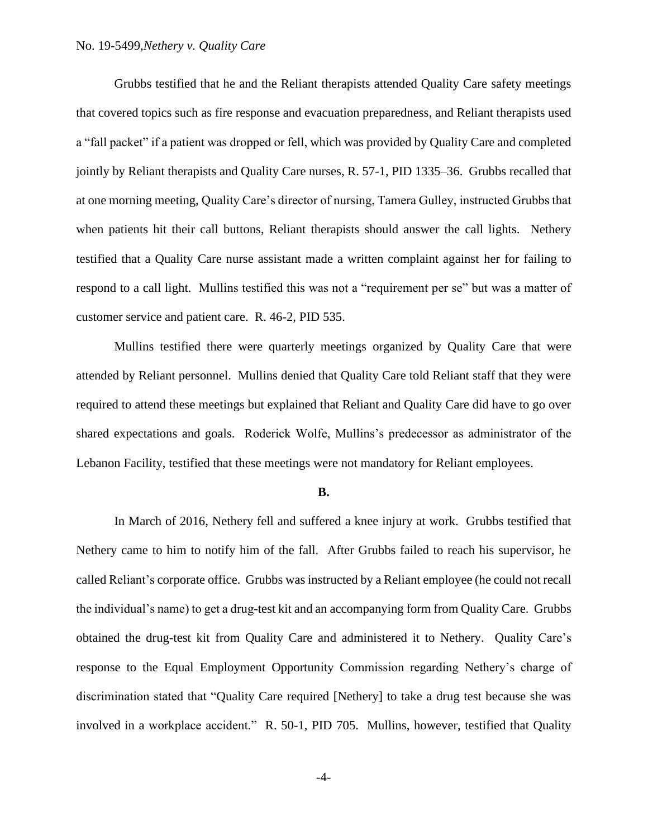## No. 19-5499,*Nethery v. Quality Care*

Grubbs testified that he and the Reliant therapists attended Quality Care safety meetings that covered topics such as fire response and evacuation preparedness, and Reliant therapists used a "fall packet" if a patient was dropped or fell, which was provided by Quality Care and completed jointly by Reliant therapists and Quality Care nurses, R. 57-1, PID 1335–36. Grubbs recalled that at one morning meeting, Quality Care's director of nursing, Tamera Gulley, instructed Grubbs that when patients hit their call buttons, Reliant therapists should answer the call lights. Nethery testified that a Quality Care nurse assistant made a written complaint against her for failing to respond to a call light. Mullins testified this was not a "requirement per se" but was a matter of customer service and patient care. R. 46-2, PID 535.

Mullins testified there were quarterly meetings organized by Quality Care that were attended by Reliant personnel. Mullins denied that Quality Care told Reliant staff that they were required to attend these meetings but explained that Reliant and Quality Care did have to go over shared expectations and goals. Roderick Wolfe, Mullins's predecessor as administrator of the Lebanon Facility, testified that these meetings were not mandatory for Reliant employees.

#### **B.**

In March of 2016, Nethery fell and suffered a knee injury at work. Grubbs testified that Nethery came to him to notify him of the fall. After Grubbs failed to reach his supervisor, he called Reliant's corporate office. Grubbs was instructed by a Reliant employee (he could not recall the individual's name) to get a drug-test kit and an accompanying form from Quality Care. Grubbs obtained the drug-test kit from Quality Care and administered it to Nethery. Quality Care's response to the Equal Employment Opportunity Commission regarding Nethery's charge of discrimination stated that "Quality Care required [Nethery] to take a drug test because she was involved in a workplace accident." R. 50-1, PID 705. Mullins, however, testified that Quality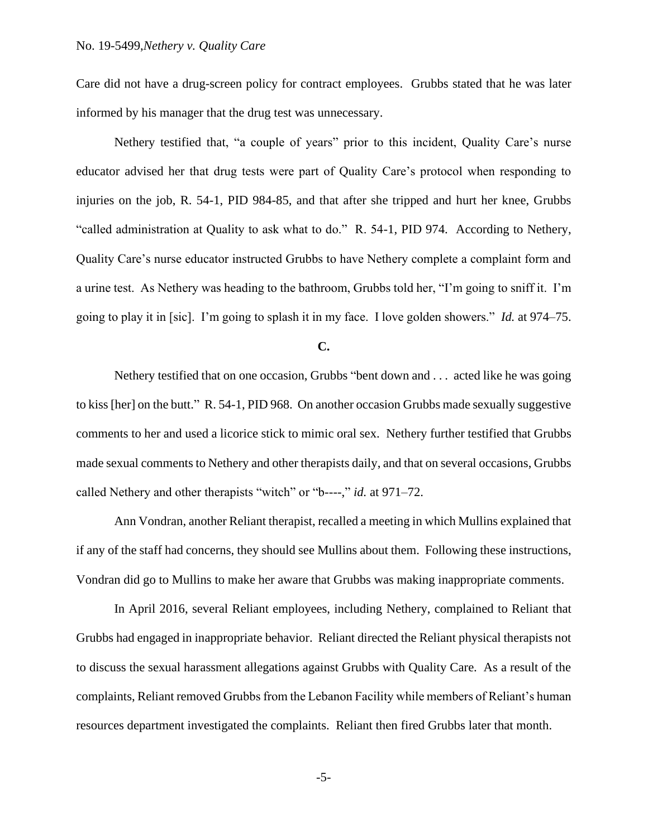Care did not have a drug-screen policy for contract employees. Grubbs stated that he was later informed by his manager that the drug test was unnecessary.

Nethery testified that, "a couple of years" prior to this incident, Quality Care's nurse educator advised her that drug tests were part of Quality Care's protocol when responding to injuries on the job, R. 54-1, PID 984-85, and that after she tripped and hurt her knee, Grubbs "called administration at Quality to ask what to do." R. 54-1, PID 974. According to Nethery, Quality Care's nurse educator instructed Grubbs to have Nethery complete a complaint form and a urine test. As Nethery was heading to the bathroom, Grubbs told her, "I'm going to sniff it. I'm going to play it in [sic]. I'm going to splash it in my face. I love golden showers." *Id.* at 974–75.

**C.**

Nethery testified that on one occasion, Grubbs "bent down and . . . acted like he was going to kiss [her] on the butt." R. 54-1, PID 968. On another occasion Grubbs made sexually suggestive comments to her and used a licorice stick to mimic oral sex. Nethery further testified that Grubbs made sexual comments to Nethery and other therapists daily, and that on several occasions, Grubbs called Nethery and other therapists "witch" or "b----," *id.* at 971–72.

Ann Vondran, another Reliant therapist, recalled a meeting in which Mullins explained that if any of the staff had concerns, they should see Mullins about them. Following these instructions, Vondran did go to Mullins to make her aware that Grubbs was making inappropriate comments.

In April 2016, several Reliant employees, including Nethery, complained to Reliant that Grubbs had engaged in inappropriate behavior. Reliant directed the Reliant physical therapists not to discuss the sexual harassment allegations against Grubbs with Quality Care. As a result of the complaints, Reliant removed Grubbs from the Lebanon Facility while members of Reliant's human resources department investigated the complaints. Reliant then fired Grubbs later that month.

-5-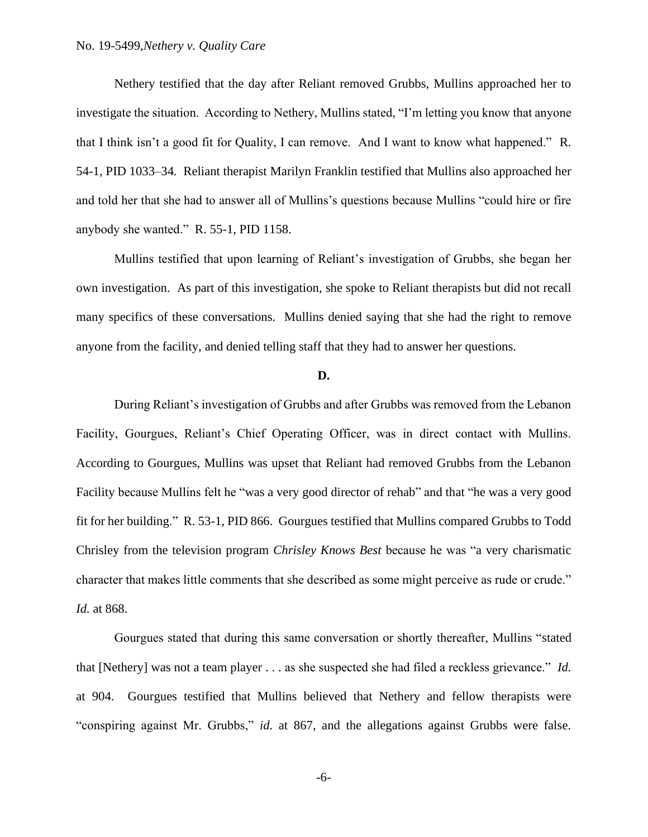Nethery testified that the day after Reliant removed Grubbs, Mullins approached her to investigate the situation. According to Nethery, Mullins stated, "I'm letting you know that anyone that I think isn't a good fit for Quality, I can remove. And I want to know what happened." R. 54-1, PID 1033–34*.* Reliant therapist Marilyn Franklin testified that Mullins also approached her and told her that she had to answer all of Mullins's questions because Mullins "could hire or fire anybody she wanted." R. 55-1, PID 1158.

Mullins testified that upon learning of Reliant's investigation of Grubbs, she began her own investigation. As part of this investigation, she spoke to Reliant therapists but did not recall many specifics of these conversations. Mullins denied saying that she had the right to remove anyone from the facility, and denied telling staff that they had to answer her questions.

### **D.**

During Reliant's investigation of Grubbs and after Grubbs was removed from the Lebanon Facility, Gourgues, Reliant's Chief Operating Officer, was in direct contact with Mullins. According to Gourgues, Mullins was upset that Reliant had removed Grubbs from the Lebanon Facility because Mullins felt he "was a very good director of rehab" and that "he was a very good fit for her building." R. 53-1, PID 866. Gourgues testified that Mullins compared Grubbs to Todd Chrisley from the television program *Chrisley Knows Best* because he was "a very charismatic character that makes little comments that she described as some might perceive as rude or crude." *Id.* at 868.

Gourgues stated that during this same conversation or shortly thereafter, Mullins "stated that [Nethery] was not a team player . . . as she suspected she had filed a reckless grievance." *Id.* at 904. Gourgues testified that Mullins believed that Nethery and fellow therapists were "conspiring against Mr. Grubbs," *id.* at 867, and the allegations against Grubbs were false.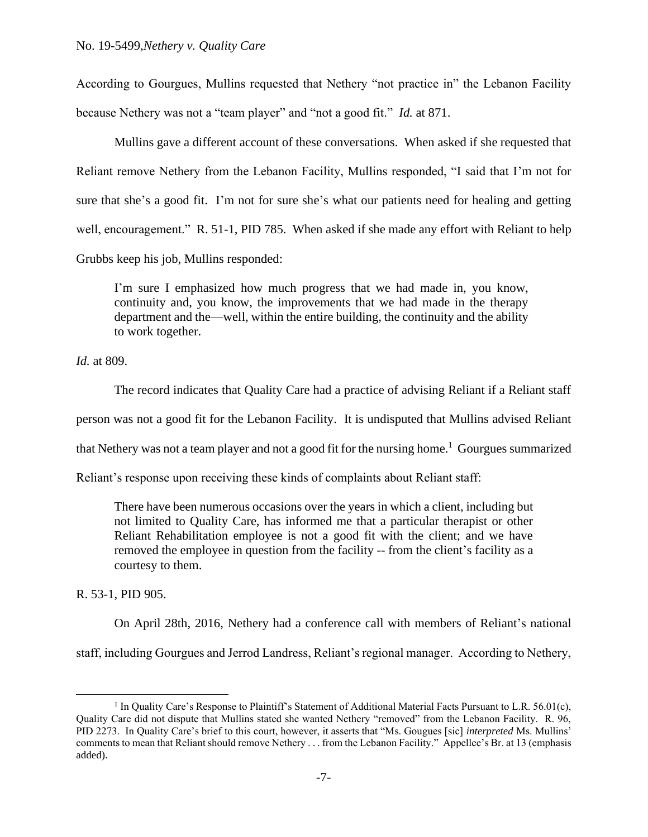According to Gourgues, Mullins requested that Nethery "not practice in" the Lebanon Facility because Nethery was not a "team player" and "not a good fit." *Id.* at 871.

Mullins gave a different account of these conversations. When asked if she requested that Reliant remove Nethery from the Lebanon Facility, Mullins responded, "I said that I'm not for sure that she's a good fit. I'm not for sure she's what our patients need for healing and getting well, encouragement." R. 51-1, PID 785. When asked if she made any effort with Reliant to help Grubbs keep his job, Mullins responded:

I'm sure I emphasized how much progress that we had made in, you know, continuity and, you know, the improvements that we had made in the therapy department and the—well, within the entire building, the continuity and the ability to work together.

*Id.* at 809.

The record indicates that Quality Care had a practice of advising Reliant if a Reliant staff

person was not a good fit for the Lebanon Facility. It is undisputed that Mullins advised Reliant

that Nethery was not a team player and not a good fit for the nursing home.<sup>1</sup> Gourgues summarized

Reliant's response upon receiving these kinds of complaints about Reliant staff:

There have been numerous occasions over the years in which a client, including but not limited to Quality Care, has informed me that a particular therapist or other Reliant Rehabilitation employee is not a good fit with the client; and we have removed the employee in question from the facility -- from the client's facility as a courtesy to them.

R. 53-1, PID 905.

On April 28th, 2016, Nethery had a conference call with members of Reliant's national

staff, including Gourgues and Jerrod Landress, Reliant's regional manager. According to Nethery,

<sup>&</sup>lt;sup>1</sup> In Quality Care's Response to Plaintiff's Statement of Additional Material Facts Pursuant to L.R. 56.01(c), Quality Care did not dispute that Mullins stated she wanted Nethery "removed" from the Lebanon Facility. R. 96, PID 2273. In Quality Care's brief to this court, however, it asserts that "Ms. Gougues [sic] *interpreted* Ms. Mullins' comments to mean that Reliant should remove Nethery . . . from the Lebanon Facility." Appellee's Br. at 13 (emphasis added).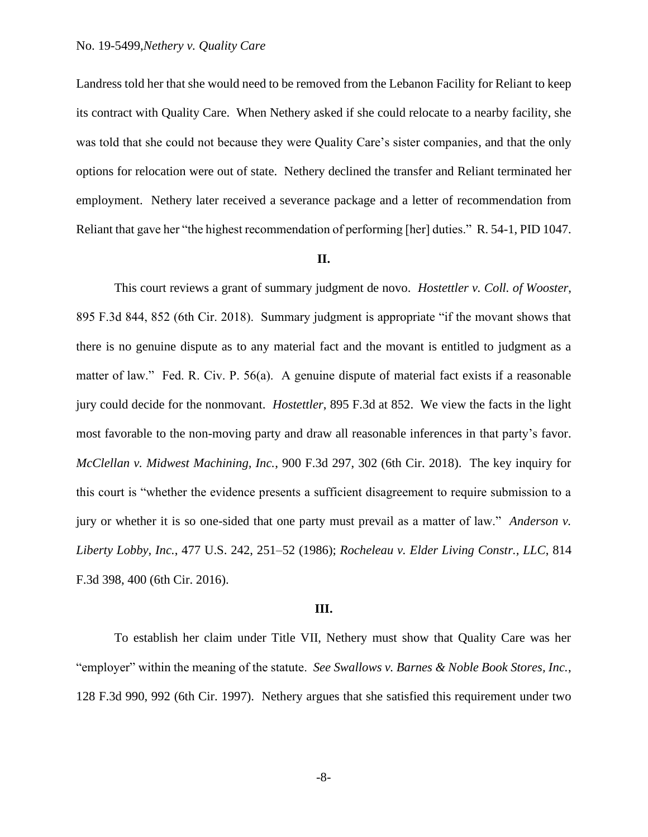Landress told her that she would need to be removed from the Lebanon Facility for Reliant to keep its contract with Quality Care. When Nethery asked if she could relocate to a nearby facility, she was told that she could not because they were Quality Care's sister companies, and that the only options for relocation were out of state. Nethery declined the transfer and Reliant terminated her employment. Nethery later received a severance package and a letter of recommendation from Reliant that gave her "the highest recommendation of performing [her] duties." R. 54-1, PID 1047.

#### **II.**

This court reviews a grant of summary judgment de novo. *Hostettler v. Coll. of Wooster*, 895 F.3d 844, 852 (6th Cir. 2018). Summary judgment is appropriate "if the movant shows that there is no genuine dispute as to any material fact and the movant is entitled to judgment as a matter of law." Fed. R. Civ. P. 56(a). A genuine dispute of material fact exists if a reasonable jury could decide for the nonmovant. *Hostettler*, 895 F.3d at 852. We view the facts in the light most favorable to the non-moving party and draw all reasonable inferences in that party's favor. *McClellan v. Midwest Machining, Inc.*, 900 F.3d 297, 302 (6th Cir. 2018). The key inquiry for this court is "whether the evidence presents a sufficient disagreement to require submission to a jury or whether it is so one-sided that one party must prevail as a matter of law." *Anderson v. Liberty Lobby, Inc.*, 477 U.S. 242, 251–52 (1986); *Rocheleau v. Elder Living Constr., LLC*, 814 F.3d 398, 400 (6th Cir. 2016).

#### **III.**

To establish her claim under Title VII, Nethery must show that Quality Care was her "employer" within the meaning of the statute. *See Swallows v. Barnes & Noble Book Stores, Inc.*, 128 F.3d 990, 992 (6th Cir. 1997). Nethery argues that she satisfied this requirement under two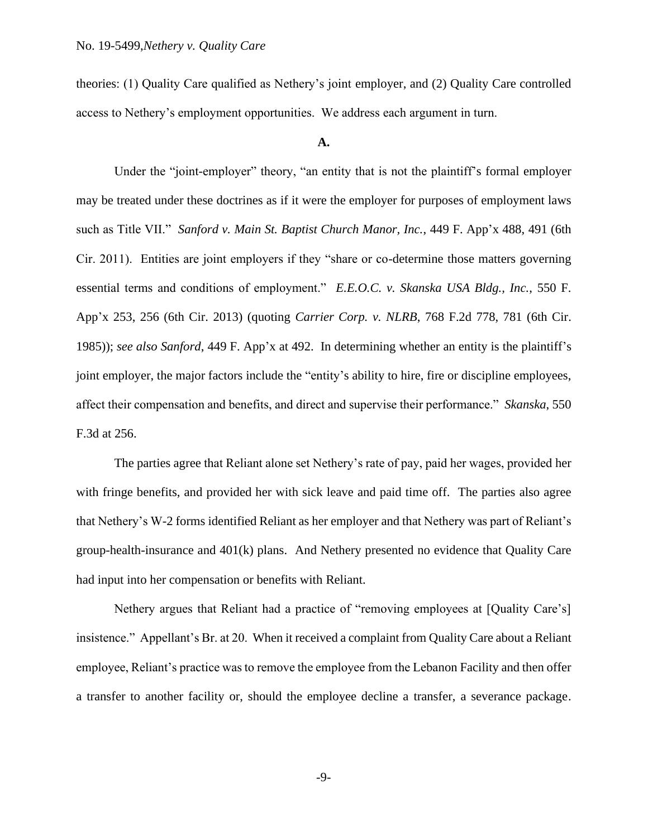theories: (1) Quality Care qualified as Nethery's joint employer, and (2) Quality Care controlled access to Nethery's employment opportunities. We address each argument in turn.

#### **A.**

Under the "joint-employer" theory, "an entity that is not the plaintiff's formal employer may be treated under these doctrines as if it were the employer for purposes of employment laws such as Title VII." *Sanford v. Main St. Baptist Church Manor, Inc.*, 449 F. App'x 488, 491 (6th Cir. 2011). Entities are joint employers if they "share or co-determine those matters governing essential terms and conditions of employment." *E.E.O.C. v. Skanska USA Bldg., Inc.*, 550 F. App'x 253, 256 (6th Cir. 2013) (quoting *Carrier Corp. v. NLRB*, 768 F.2d 778, 781 (6th Cir. 1985)); *see also Sanford*, 449 F. App'x at 492. In determining whether an entity is the plaintiff's joint employer, the major factors include the "entity's ability to hire, fire or discipline employees, affect their compensation and benefits, and direct and supervise their performance." *Skanska*, 550 F.3d at 256.

The parties agree that Reliant alone set Nethery's rate of pay, paid her wages, provided her with fringe benefits, and provided her with sick leave and paid time off. The parties also agree that Nethery's W-2 forms identified Reliant as her employer and that Nethery was part of Reliant's group-health-insurance and 401(k) plans. And Nethery presented no evidence that Quality Care had input into her compensation or benefits with Reliant.

Nethery argues that Reliant had a practice of "removing employees at [Quality Care's] insistence." Appellant's Br. at 20. When it received a complaint from Quality Care about a Reliant employee, Reliant's practice was to remove the employee from the Lebanon Facility and then offer a transfer to another facility or, should the employee decline a transfer, a severance package.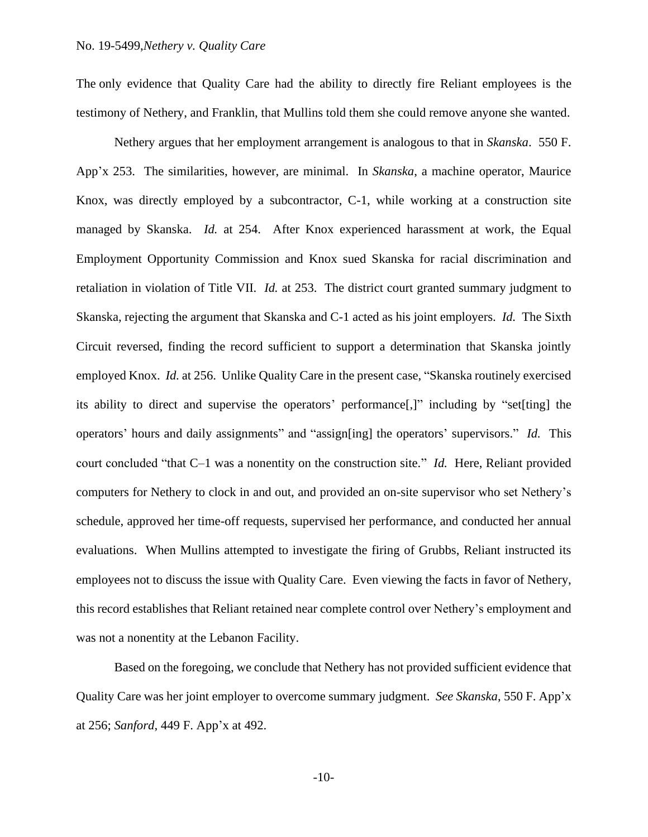The only evidence that Quality Care had the ability to directly fire Reliant employees is the testimony of Nethery, and Franklin, that Mullins told them she could remove anyone she wanted.

Nethery argues that her employment arrangement is analogous to that in *Skanska*. 550 F. App'x 253. The similarities, however, are minimal. In *Skanska*, a machine operator, Maurice Knox, was directly employed by a subcontractor, C-1, while working at a construction site managed by Skanska. *Id.* at 254. After Knox experienced harassment at work, the Equal Employment Opportunity Commission and Knox sued Skanska for racial discrimination and retaliation in violation of Title VII. *Id.* at 253. The district court granted summary judgment to Skanska, rejecting the argument that Skanska and C-1 acted as his joint employers. *Id.* The Sixth Circuit reversed, finding the record sufficient to support a determination that Skanska jointly employed Knox. *Id.* at 256. Unlike Quality Care in the present case, "Skanska routinely exercised its ability to direct and supervise the operators' performance[,]" including by "set[ting] the operators' hours and daily assignments" and "assign[ing] the operators' supervisors." *Id.* This court concluded "that C–1 was a nonentity on the construction site." *Id.* Here, Reliant provided computers for Nethery to clock in and out, and provided an on-site supervisor who set Nethery's schedule, approved her time-off requests, supervised her performance, and conducted her annual evaluations. When Mullins attempted to investigate the firing of Grubbs, Reliant instructed its employees not to discuss the issue with Quality Care. Even viewing the facts in favor of Nethery, this record establishes that Reliant retained near complete control over Nethery's employment and was not a nonentity at the Lebanon Facility.

Based on the foregoing, we conclude that Nethery has not provided sufficient evidence that Quality Care was her joint employer to overcome summary judgment. *See Skanska*, 550 F. App'x at 256; *Sanford*, 449 F. App'x at 492.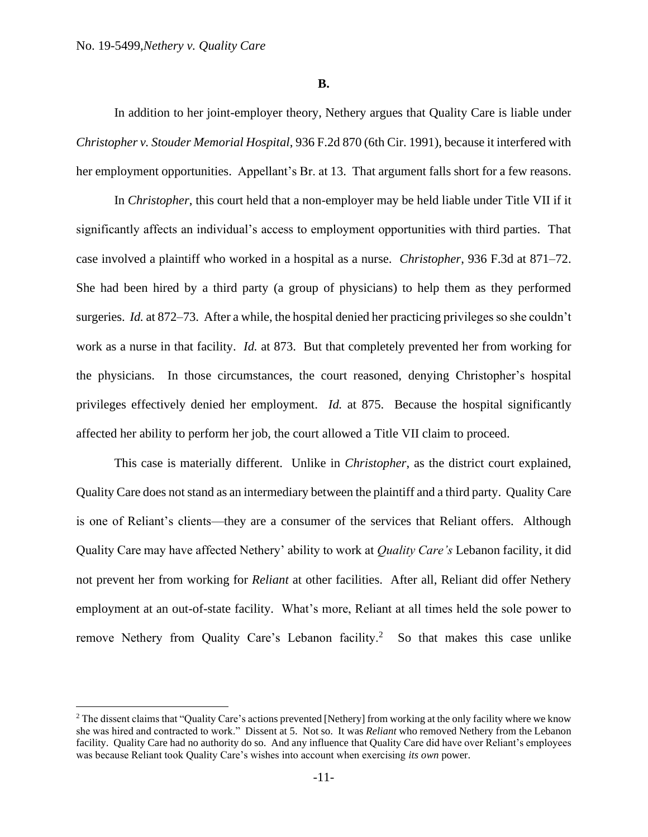**B.**

In addition to her joint-employer theory, Nethery argues that Quality Care is liable under *Christopher v. Stouder Memorial Hospital*, 936 F.2d 870 (6th Cir. 1991), because it interfered with her employment opportunities. Appellant's Br. at 13. That argument falls short for a few reasons.

In *Christopher*, this court held that a non-employer may be held liable under Title VII if it significantly affects an individual's access to employment opportunities with third parties. That case involved a plaintiff who worked in a hospital as a nurse. *Christopher*, 936 F.3d at 871–72. She had been hired by a third party (a group of physicians) to help them as they performed surgeries. *Id.* at 872–73. After a while, the hospital denied her practicing privileges so she couldn't work as a nurse in that facility. *Id.* at 873. But that completely prevented her from working for the physicians. In those circumstances, the court reasoned, denying Christopher's hospital privileges effectively denied her employment. *Id.* at 875. Because the hospital significantly affected her ability to perform her job, the court allowed a Title VII claim to proceed.

This case is materially different. Unlike in *Christopher*, as the district court explained, Quality Care does not stand as an intermediary between the plaintiff and a third party. Quality Care is one of Reliant's clients—they are a consumer of the services that Reliant offers. Although Quality Care may have affected Nethery' ability to work at *Quality Care's* Lebanon facility, it did not prevent her from working for *Reliant* at other facilities. After all, Reliant did offer Nethery employment at an out-of-state facility. What's more, Reliant at all times held the sole power to remove Nethery from Quality Care's Lebanon facility.<sup>2</sup> So that makes this case unlike

<sup>&</sup>lt;sup>2</sup> The dissent claims that "Quality Care's actions prevented [Nethery] from working at the only facility where we know she was hired and contracted to work." Dissent at 5. Not so. It was *Reliant* who removed Nethery from the Lebanon facility. Quality Care had no authority do so. And any influence that Quality Care did have over Reliant's employees was because Reliant took Quality Care's wishes into account when exercising *its own* power.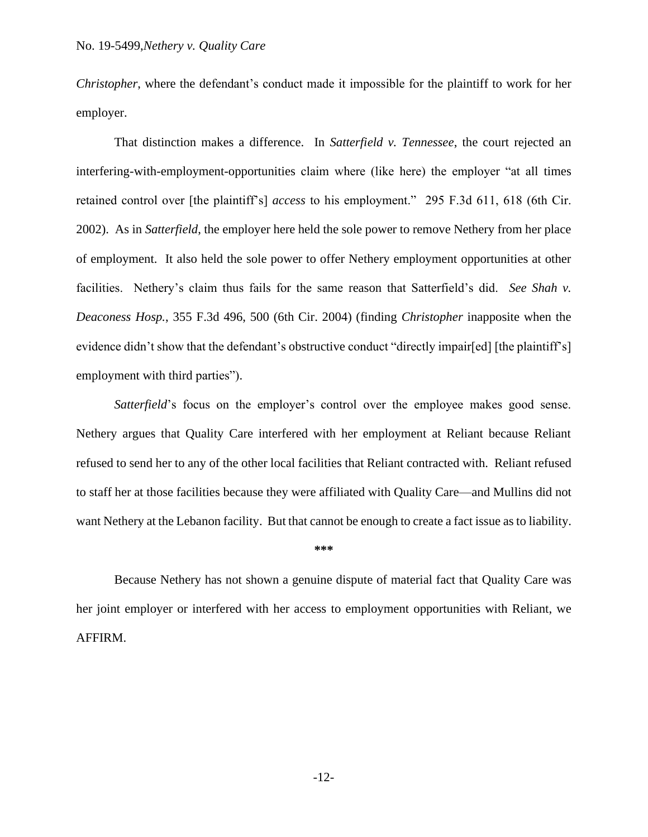*Christopher*, where the defendant's conduct made it impossible for the plaintiff to work for her employer.

That distinction makes a difference. In *Satterfield v. Tennessee*, the court rejected an interfering-with-employment-opportunities claim where (like here) the employer "at all times retained control over [the plaintiff's] *access* to his employment." 295 F.3d 611, 618 (6th Cir. 2002). As in *Satterfield*, the employer here held the sole power to remove Nethery from her place of employment. It also held the sole power to offer Nethery employment opportunities at other facilities. Nethery's claim thus fails for the same reason that Satterfield's did. *See Shah v. Deaconess Hosp.*, 355 F.3d 496, 500 (6th Cir. 2004) (finding *Christopher* inapposite when the evidence didn't show that the defendant's obstructive conduct "directly impair[ed] [the plaintiff's] employment with third parties").

*Satterfield*'s focus on the employer's control over the employee makes good sense. Nethery argues that Quality Care interfered with her employment at Reliant because Reliant refused to send her to any of the other local facilities that Reliant contracted with. Reliant refused to staff her at those facilities because they were affiliated with Quality Care—and Mullins did not want Nethery at the Lebanon facility. But that cannot be enough to create a fact issue as to liability.

#### **\*\*\***

Because Nethery has not shown a genuine dispute of material fact that Quality Care was her joint employer or interfered with her access to employment opportunities with Reliant, we AFFIRM.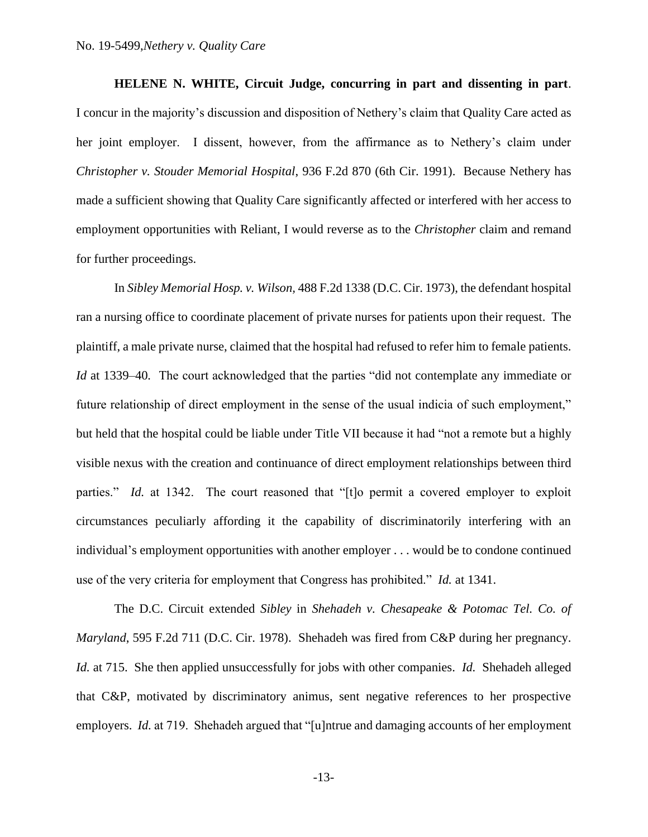**HELENE N. WHITE, Circuit Judge, concurring in part and dissenting in part**. I concur in the majority's discussion and disposition of Nethery's claim that Quality Care acted as her joint employer. I dissent, however, from the affirmance as to Nethery's claim under *Christopher v. Stouder Memorial Hospital*, 936 F.2d 870 (6th Cir. 1991). Because Nethery has made a sufficient showing that Quality Care significantly affected or interfered with her access to employment opportunities with Reliant, I would reverse as to the *Christopher* claim and remand for further proceedings.

In *Sibley Memorial Hosp. v. Wilson,* 488 F.2d 1338 (D.C. Cir. 1973), the defendant hospital ran a nursing office to coordinate placement of private nurses for patients upon their request. The plaintiff, a male private nurse, claimed that the hospital had refused to refer him to female patients. *Id* at 1339–40. The court acknowledged that the parties "did not contemplate any immediate or future relationship of direct employment in the sense of the usual indicia of such employment," but held that the hospital could be liable under Title VII because it had "not a remote but a highly visible nexus with the creation and continuance of direct employment relationships between third parties." *Id.* at 1342. The court reasoned that "[t]o permit a covered employer to exploit circumstances peculiarly affording it the capability of discriminatorily interfering with an individual's employment opportunities with another employer . . . would be to condone continued use of the very criteria for employment that Congress has prohibited." *Id.* at 1341.

The D.C. Circuit extended *Sibley* in *Shehadeh v. Chesapeake & Potomac Tel. Co. of Maryland*, 595 F.2d 711 (D.C. Cir. 1978). Shehadeh was fired from C&P during her pregnancy. *Id.* at 715. She then applied unsuccessfully for jobs with other companies. *Id.* Shehadeh alleged that C&P, motivated by discriminatory animus, sent negative references to her prospective employers. *Id.* at 719. Shehadeh argued that "[u]ntrue and damaging accounts of her employment

-13-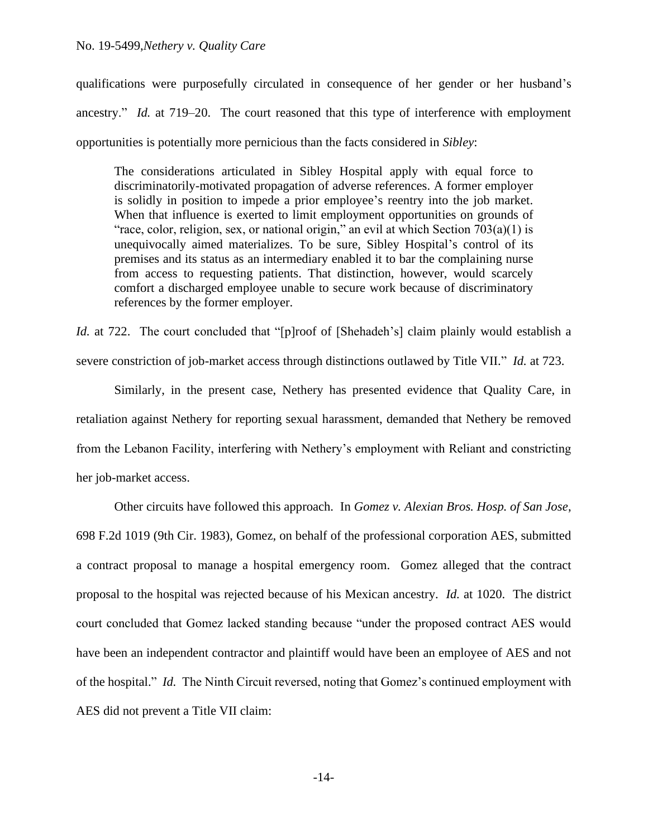## No. 19-5499,*Nethery v. Quality Care*

qualifications were purposefully circulated in consequence of her gender or her husband's ancestry." *Id.* at 719–20. The court reasoned that this type of interference with employment opportunities is potentially more pernicious than the facts considered in *Sibley*:

The considerations articulated in Sibley Hospital apply with equal force to discriminatorily-motivated propagation of adverse references. A former employer is solidly in position to impede a prior employee's reentry into the job market. When that influence is exerted to limit employment opportunities on grounds of "race, color, religion, sex, or national origin," an evil at which Section  $703(a)(1)$  is unequivocally aimed materializes. To be sure, Sibley Hospital's control of its premises and its status as an intermediary enabled it to bar the complaining nurse from access to requesting patients. That distinction, however, would scarcely comfort a discharged employee unable to secure work because of discriminatory references by the former employer.

*Id.* at 722. The court concluded that "[p]roof of [Shehadeh's] claim plainly would establish a severe constriction of job-market access through distinctions outlawed by Title VII." *Id.* at 723.

Similarly, in the present case, Nethery has presented evidence that Quality Care, in retaliation against Nethery for reporting sexual harassment, demanded that Nethery be removed from the Lebanon Facility, interfering with Nethery's employment with Reliant and constricting her job-market access.

Other circuits have followed this approach. In *Gomez v. Alexian Bros. Hosp. of San Jose*, 698 F.2d 1019 (9th Cir. 1983), Gomez, on behalf of the professional corporation AES, submitted a contract proposal to manage a hospital emergency room. Gomez alleged that the contract proposal to the hospital was rejected because of his Mexican ancestry. *Id.* at 1020. The district court concluded that Gomez lacked standing because "under the proposed contract AES would have been an independent contractor and plaintiff would have been an employee of AES and not of the hospital." *Id.* The Ninth Circuit reversed, noting that Gomez's continued employment with AES did not prevent a Title VII claim: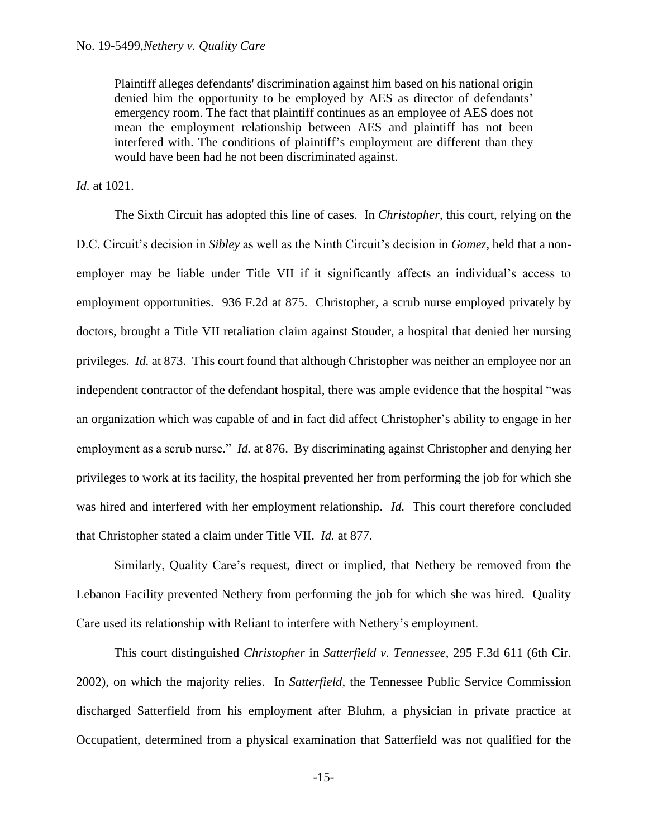Plaintiff alleges defendants' discrimination against him based on his national origin denied him the opportunity to be employed by AES as director of defendants' emergency room. The fact that plaintiff continues as an employee of AES does not mean the employment relationship between AES and plaintiff has not been interfered with. The conditions of plaintiff's employment are different than they would have been had he not been discriminated against.

*Id.* at 1021.

The Sixth Circuit has adopted this line of cases. In *Christopher*, this court, relying on the D.C. Circuit's decision in *Sibley* as well as the Ninth Circuit's decision in *Gomez*, held that a nonemployer may be liable under Title VII if it significantly affects an individual's access to employment opportunities. 936 F.2d at 875. Christopher, a scrub nurse employed privately by doctors, brought a Title VII retaliation claim against Stouder, a hospital that denied her nursing privileges. *Id.* at 873. This court found that although Christopher was neither an employee nor an independent contractor of the defendant hospital, there was ample evidence that the hospital "was an organization which was capable of and in fact did affect Christopher's ability to engage in her employment as a scrub nurse." *Id.* at 876. By discriminating against Christopher and denying her privileges to work at its facility, the hospital prevented her from performing the job for which she was hired and interfered with her employment relationship. *Id.* This court therefore concluded that Christopher stated a claim under Title VII. *Id.* at 877.

Similarly, Quality Care's request, direct or implied, that Nethery be removed from the Lebanon Facility prevented Nethery from performing the job for which she was hired. Quality Care used its relationship with Reliant to interfere with Nethery's employment.

This court distinguished *Christopher* in *Satterfield v. Tennessee*, 295 F.3d 611 (6th Cir. 2002), on which the majority relies. In *Satterfield*, the Tennessee Public Service Commission discharged Satterfield from his employment after Bluhm, a physician in private practice at Occupatient, determined from a physical examination that Satterfield was not qualified for the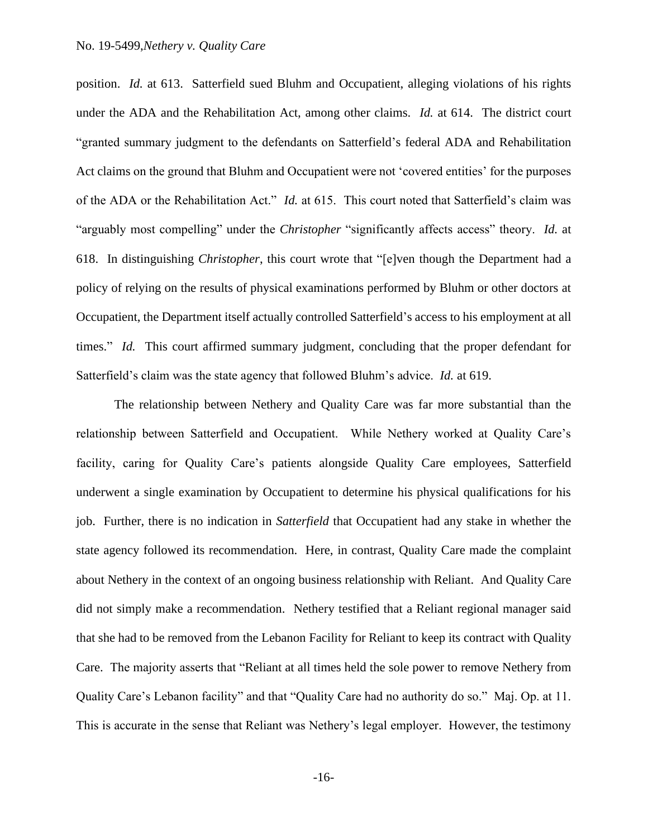position. *Id.* at 613. Satterfield sued Bluhm and Occupatient, alleging violations of his rights under the ADA and the Rehabilitation Act, among other claims. *Id.* at 614. The district court "granted summary judgment to the defendants on Satterfield's federal ADA and Rehabilitation Act claims on the ground that Bluhm and Occupatient were not 'covered entities' for the purposes of the ADA or the Rehabilitation Act." *Id.* at 615. This court noted that Satterfield's claim was "arguably most compelling" under the *Christopher* "significantly affects access" theory. *Id.* at 618. In distinguishing *Christopher*, this court wrote that "[e]ven though the Department had a policy of relying on the results of physical examinations performed by Bluhm or other doctors at Occupatient, the Department itself actually controlled Satterfield's access to his employment at all times." *Id.* This court affirmed summary judgment, concluding that the proper defendant for Satterfield's claim was the state agency that followed Bluhm's advice. *Id.* at 619.

The relationship between Nethery and Quality Care was far more substantial than the relationship between Satterfield and Occupatient. While Nethery worked at Quality Care's facility, caring for Quality Care's patients alongside Quality Care employees, Satterfield underwent a single examination by Occupatient to determine his physical qualifications for his job. Further, there is no indication in *Satterfield* that Occupatient had any stake in whether the state agency followed its recommendation. Here, in contrast, Quality Care made the complaint about Nethery in the context of an ongoing business relationship with Reliant. And Quality Care did not simply make a recommendation. Nethery testified that a Reliant regional manager said that she had to be removed from the Lebanon Facility for Reliant to keep its contract with Quality Care. The majority asserts that "Reliant at all times held the sole power to remove Nethery from Quality Care's Lebanon facility" and that "Quality Care had no authority do so." Maj. Op. at 11. This is accurate in the sense that Reliant was Nethery's legal employer. However, the testimony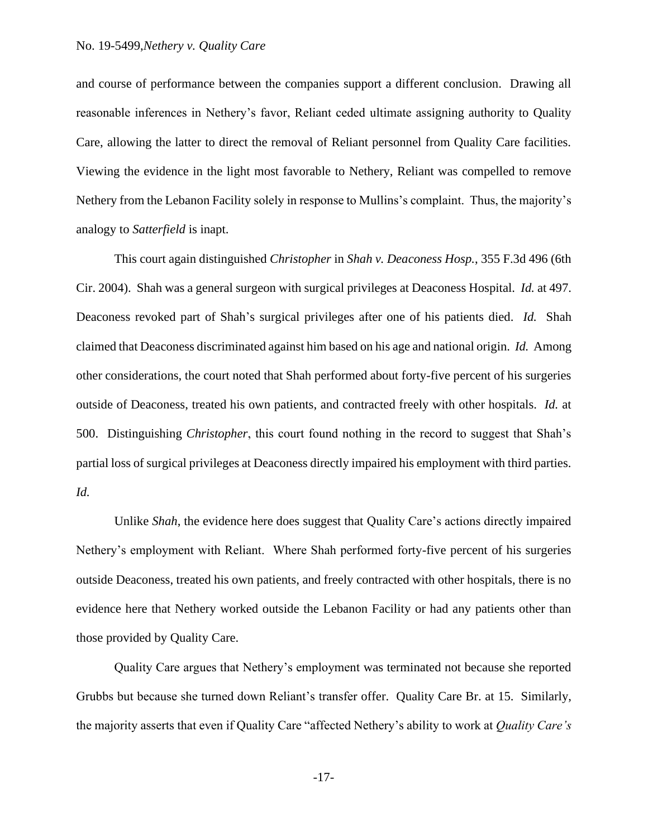and course of performance between the companies support a different conclusion. Drawing all reasonable inferences in Nethery's favor, Reliant ceded ultimate assigning authority to Quality Care, allowing the latter to direct the removal of Reliant personnel from Quality Care facilities. Viewing the evidence in the light most favorable to Nethery, Reliant was compelled to remove Nethery from the Lebanon Facility solely in response to Mullins's complaint. Thus, the majority's analogy to *Satterfield* is inapt.

This court again distinguished *Christopher* in *Shah v. Deaconess Hosp.*, 355 F.3d 496 (6th Cir. 2004). Shah was a general surgeon with surgical privileges at Deaconess Hospital. *Id.* at 497. Deaconess revoked part of Shah's surgical privileges after one of his patients died. *Id.* Shah claimed that Deaconess discriminated against him based on his age and national origin. *Id.* Among other considerations, the court noted that Shah performed about forty-five percent of his surgeries outside of Deaconess, treated his own patients, and contracted freely with other hospitals. *Id.* at 500. Distinguishing *Christopher*, this court found nothing in the record to suggest that Shah's partial loss of surgical privileges at Deaconess directly impaired his employment with third parties. *Id.*

Unlike *Shah*, the evidence here does suggest that Quality Care's actions directly impaired Nethery's employment with Reliant. Where Shah performed forty-five percent of his surgeries outside Deaconess, treated his own patients, and freely contracted with other hospitals, there is no evidence here that Nethery worked outside the Lebanon Facility or had any patients other than those provided by Quality Care.

Quality Care argues that Nethery's employment was terminated not because she reported Grubbs but because she turned down Reliant's transfer offer. Quality Care Br. at 15. Similarly, the majority asserts that even if Quality Care "affected Nethery's ability to work at *Quality Care's*

-17-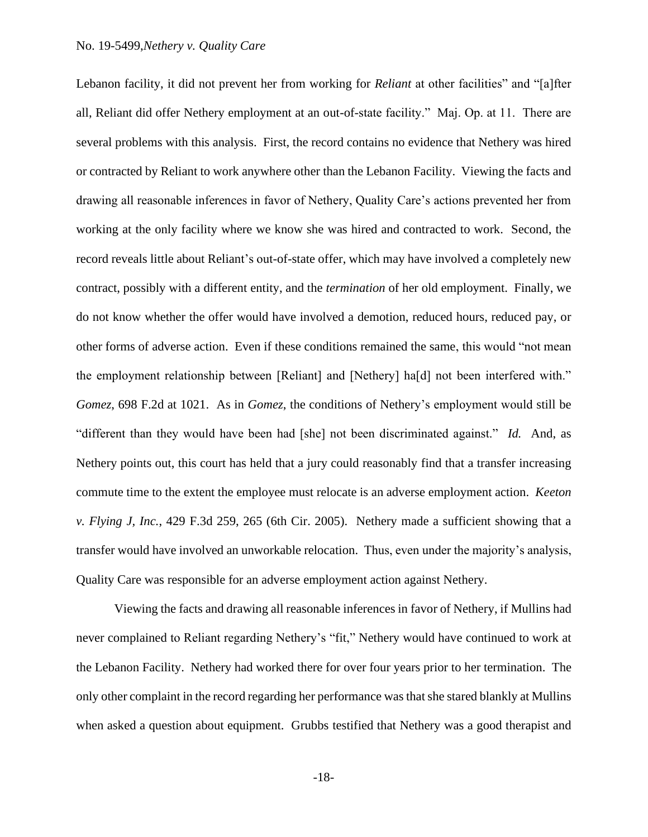### No. 19-5499,*Nethery v. Quality Care*

Lebanon facility, it did not prevent her from working for *Reliant* at other facilities" and "[a]fter all, Reliant did offer Nethery employment at an out-of-state facility." Maj. Op. at 11. There are several problems with this analysis. First, the record contains no evidence that Nethery was hired or contracted by Reliant to work anywhere other than the Lebanon Facility. Viewing the facts and drawing all reasonable inferences in favor of Nethery, Quality Care's actions prevented her from working at the only facility where we know she was hired and contracted to work. Second, the record reveals little about Reliant's out-of-state offer, which may have involved a completely new contract, possibly with a different entity, and the *termination* of her old employment. Finally, we do not know whether the offer would have involved a demotion, reduced hours, reduced pay, or other forms of adverse action. Even if these conditions remained the same, this would "not mean the employment relationship between [Reliant] and [Nethery] ha[d] not been interfered with." *Gomez*, 698 F.2d at 1021. As in *Gomez*, the conditions of Nethery's employment would still be "different than they would have been had [she] not been discriminated against." *Id.* And, as Nethery points out, this court has held that a jury could reasonably find that a transfer increasing commute time to the extent the employee must relocate is an adverse employment action. *Keeton v. Flying J, Inc.*, 429 F.3d 259, 265 (6th Cir. 2005). Nethery made a sufficient showing that a transfer would have involved an unworkable relocation. Thus, even under the majority's analysis, Quality Care was responsible for an adverse employment action against Nethery.

Viewing the facts and drawing all reasonable inferences in favor of Nethery, if Mullins had never complained to Reliant regarding Nethery's "fit," Nethery would have continued to work at the Lebanon Facility. Nethery had worked there for over four years prior to her termination. The only other complaint in the record regarding her performance was that she stared blankly at Mullins when asked a question about equipment. Grubbs testified that Nethery was a good therapist and